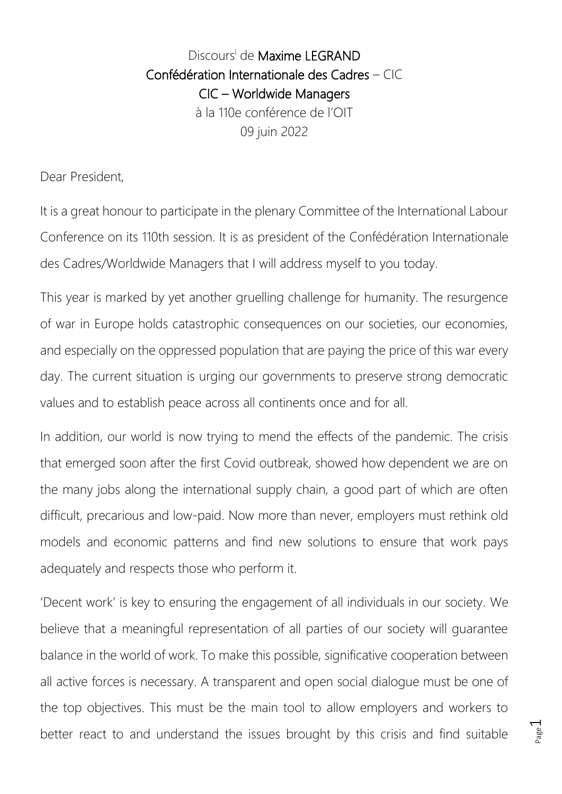## Discours<sup>i</sup> de Maxime LEGRAND Confédération Internationale des Cadres – CIC CIC – Worldwide Managers à la 110e conférence de l'OIT 09 juin 2022

Dear President,

It is a great honour to participate in the plenary Committee of the International Labour Conference on its 110th session. It is as president of the Confédération Internationale des Cadres/Worldwide Managers that I will address myself to you today.

This year is marked by yet another gruelling challenge for humanity. The resurgence of war in Europe holds catastrophic consequences on our societies, our economies, and especially on the oppressed population that are paying the price of this war every day. The current situation is urging our governments to preserve strong democratic values and to establish peace across all continents once and for all.

In addition, our world is now trying to mend the effects of the pandemic. The crisis that emerged soon after the first Covid outbreak, showed how dependent we are on the many jobs along the international supply chain, a good part of which are often difficult, precarious and low-paid. Now more than never, employers must rethink old models and economic patterns and find new solutions to ensure that work pays adequately and respects those who perform it.

'Decent work' is key to ensuring the engagement of all individuals in our society. We believe that a meaningful representation of all parties of our society will guarantee balance in the world of work. To make this possible, significative cooperation between all active forces is necessary. A transparent and open social dialogue must be one of the top objectives. This must be the main tool to allow employers and workers to better react to and understand the issues brought by this crisis and find suitable